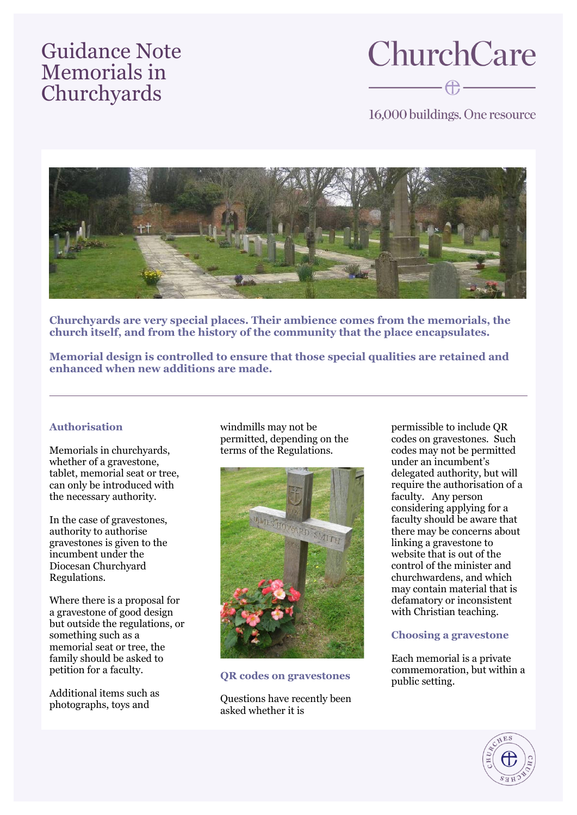## Guidance Note Memorials in **Churchyards**

# **ChurchCare**  $\begin{picture}(20,20) \put(0,0){\line(1,0){10}} \put(15,0){\line(1,0){10}} \put(15,0){\line(1,0){10}} \put(15,0){\line(1,0){10}} \put(15,0){\line(1,0){10}} \put(15,0){\line(1,0){10}} \put(15,0){\line(1,0){10}} \put(15,0){\line(1,0){10}} \put(15,0){\line(1,0){10}} \put(15,0){\line(1,0){10}} \put(15,0){\line(1,0){10}} \put(15,0){\line(1$

16,000 buildings. One resource



**Churchyards are very special places. Their ambience comes from the memorials, the church itself, and from the history of the community that the place encapsulates.** 

**Memorial design is controlled to ensure that those special qualities are retained and enhanced when new additions are made.**

### **Authorisation**

Memorials in churchyards, whether of a gravestone. tablet, memorial seat or tree, can only be introduced with the necessary authority.

In the case of gravestones, authority to authorise gravestones is given to the incumbent under the Diocesan Churchyard Regulations.

Where there is a proposal for a gravestone of good design but outside the regulations, or something such as a memorial seat or tree, the family should be asked to petition for a faculty.

Additional items such as photographs, toys and

windmills may not be permitted, depending on the terms of the Regulations.



**QR codes on gravestones**

Questions have recently been asked whether it is

permissible to include QR codes on gravestones. Such codes may not be permitted under an incumbent's delegated authority, but will require the authorisation of a faculty. Any person considering applying for a faculty should be aware that there may be concerns about linking a gravestone to website that is out of the control of the minister and churchwardens, and which may contain material that is defamatory or inconsistent with Christian teaching.

#### **Choosing a gravestone**

Each memorial is a private commemoration, but within a public setting.